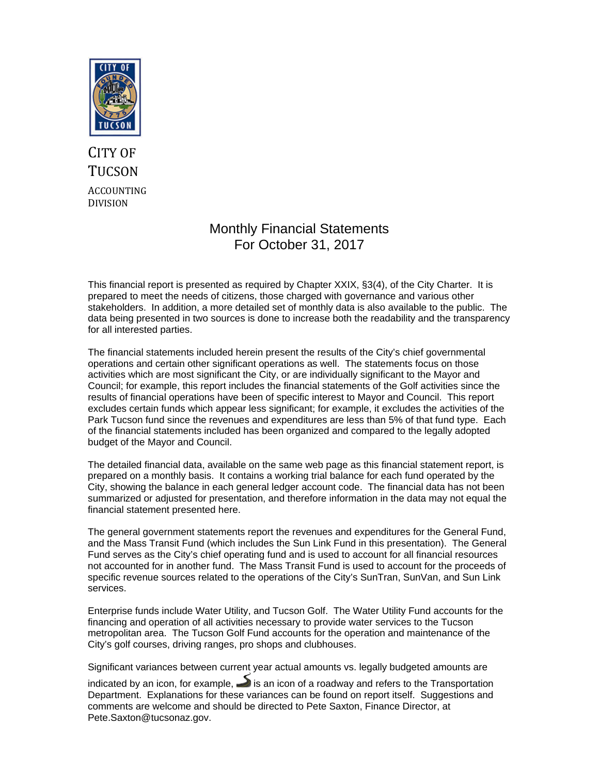

## CITY OF **TUCSON** ACCOUNTING DIVISION

### Monthly Financial Statements For October 31, 2017

This financial report is presented as required by Chapter XXIX, §3(4), of the City Charter. It is prepared to meet the needs of citizens, those charged with governance and various other stakeholders. In addition, a more detailed set of monthly data is also available to the public. The data being presented in two sources is done to increase both the readability and the transparency for all interested parties.

The financial statements included herein present the results of the City's chief governmental operations and certain other significant operations as well. The statements focus on those activities which are most significant the City, or are individually significant to the Mayor and Council; for example, this report includes the financial statements of the Golf activities since the results of financial operations have been of specific interest to Mayor and Council. This report excludes certain funds which appear less significant; for example, it excludes the activities of the Park Tucson fund since the revenues and expenditures are less than 5% of that fund type. Each of the financial statements included has been organized and compared to the legally adopted budget of the Mayor and Council.

The detailed financial data, available on the same web page as this financial statement report, is prepared on a monthly basis. It contains a working trial balance for each fund operated by the City, showing the balance in each general ledger account code. The financial data has not been summarized or adjusted for presentation, and therefore information in the data may not equal the financial statement presented here.

The general government statements report the revenues and expenditures for the General Fund, and the Mass Transit Fund (which includes the Sun Link Fund in this presentation). The General Fund serves as the City's chief operating fund and is used to account for all financial resources not accounted for in another fund. The Mass Transit Fund is used to account for the proceeds of specific revenue sources related to the operations of the City's SunTran, SunVan, and Sun Link services.

Enterprise funds include Water Utility, and Tucson Golf. The Water Utility Fund accounts for the financing and operation of all activities necessary to provide water services to the Tucson metropolitan area. The Tucson Golf Fund accounts for the operation and maintenance of the City's golf courses, driving ranges, pro shops and clubhouses.

Significant variances between current year actual amounts vs. legally budgeted amounts are

indicated by an icon, for example,  $\blacktriangleright$  is an icon of a roadway and refers to the Transportation Department. Explanations for these variances can be found on report itself. Suggestions and comments are welcome and should be directed to Pete Saxton, Finance Director, at Pete.Saxton@tucsonaz.gov.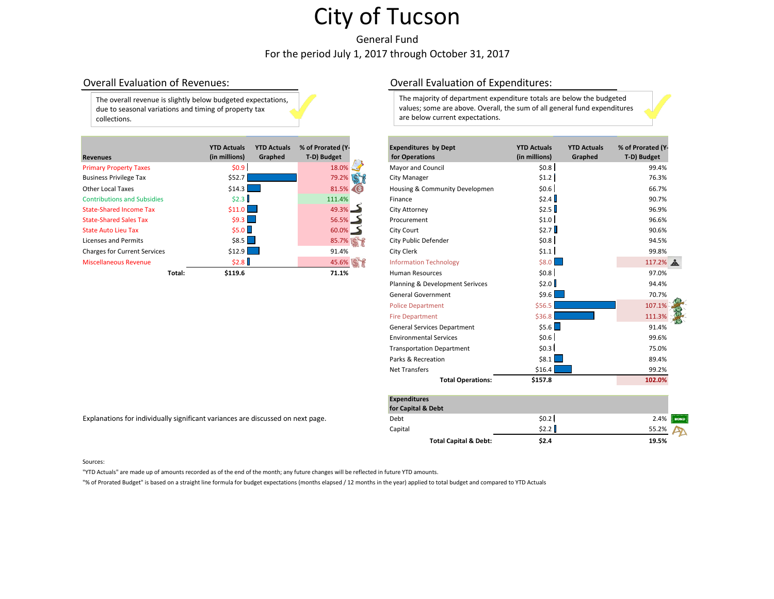General Fund For the period July 1, 2017 through October 31, 2017

The overall revenue is slightly below budgeted expectations, due to seasonal variations and timing of property tax collections.

| <b>Revenues</b>                     |        | <b>YTD Actuals</b><br>(in millions) | <b>YTD Actuals</b><br>Graphed | % of Prorated (Y-<br>T-D) Budget | <b>Expenditures by Dept</b><br>for Operations | <b>YTD Actuals</b><br>(in millions) | <b>YTD Actuals</b><br>Graphed | % of Prorated (Y<br>T-D) Budget |
|-------------------------------------|--------|-------------------------------------|-------------------------------|----------------------------------|-----------------------------------------------|-------------------------------------|-------------------------------|---------------------------------|
| <b>Primary Property Taxes</b>       |        | \$0.9                               |                               | $18.0\%$                         | Mayor and Council                             | \$0.8                               |                               | 99.4%                           |
| <b>Business Privilege Tax</b>       |        | \$52.7                              |                               | 79.2%                            | <b>City Manager</b>                           | \$1.2                               |                               | 76.3%                           |
| <b>Other Local Taxes</b>            |        | $$14.3$ $\Box$                      |                               | 81.5% (S)                        | Housing & Community Developmen                | \$0.6]                              |                               | 66.7%                           |
| <b>Contributions and Subsidies</b>  |        | \$2.3                               |                               | 111.4%                           | Finance                                       | \$2.4                               |                               | 90.7%                           |
| <b>State-Shared Income Tax</b>      |        | $$11.0$ $\Box$                      |                               | 49.3%                            | City Attorney                                 | \$2.5                               |                               | 96.9%                           |
| <b>State-Shared Sales Tax</b>       |        | $$9.3$ $\Box$                       |                               | $56.5%$ $\rightarrow$            | Procurement                                   | \$1.0                               |                               | 96.6%                           |
| <b>State Auto Lieu Tax</b>          |        | \$5.0                               |                               | $60.0\%$ $\rightarrow$           | City Court                                    | \$2.7                               |                               | 90.6%                           |
| Licenses and Permits                |        | $$8.5$ $\Box$                       |                               | 85.7%   \$                       | City Public Defender                          | \$0.8                               |                               | 94.5%                           |
| <b>Charges for Current Services</b> |        | $$12.9$ $\Box$                      |                               | 91.4%                            | City Clerk                                    | \$1.1                               |                               | 99.8%                           |
| <b>Miscellaneous Revenue</b>        |        | \$2.8                               |                               | 45.6%                            | <b>Information Technology</b>                 | $$8.0$ $\Box$                       |                               | 117.2%                          |
|                                     | Total: | \$119.6                             |                               | 71.1%                            | <b>Human Resources</b>                        | \$0.8]                              |                               | 97.0%                           |

# Overall Evaluation of Revenues: Overall Evaluation of Expenditures:

The majority of department expenditure totals are below the budgeted values; some are above. Overall, the sum of all general fund expenditures are below current expectations.

|        | <b>YTD Actuals</b><br>(in millions) | <b>YTD Actuals</b><br>Graphed | % of Prorated (Y-<br>T-D) Budget | <b>Expenditures by Dept</b><br>for Operations | <b>YTD Actuals</b><br>(in millions) | <b>YTD Actuals</b><br>Graphed | % of Prorated (Y-<br>T-D) Budget |
|--------|-------------------------------------|-------------------------------|----------------------------------|-----------------------------------------------|-------------------------------------|-------------------------------|----------------------------------|
|        | \$0.9                               |                               | 18.0%                            | Mayor and Council                             | \$0.8                               |                               | 99.4%                            |
|        | \$52.7                              |                               | 79.2%                            | City Manager                                  | \$1.2                               |                               | 76.3%                            |
|        | \$14.3                              |                               | 81.5% S                          | Housing & Community Developmen                | \$0.6]                              |                               | 66.7%                            |
|        | \$2.3                               |                               | 111.4%                           | Finance                                       | \$2.4                               |                               | 90.7%                            |
|        | \$11.0                              |                               | 49.3%                            | City Attorney                                 | \$2.5                               |                               | 96.9%                            |
|        | $$9.3$ $\Box$                       |                               | 56.5%                            | Procurement                                   | \$1.0                               |                               | 96.6%                            |
|        | \$5.0                               |                               | $60.0\%$                         | City Court                                    | \$2.7                               |                               | 90.6%                            |
|        | $$8.5$                              |                               | 85.7%                            | City Public Defender                          | \$0.8]                              |                               | 94.5%                            |
|        | \$12.9                              |                               | 91.4%                            | City Clerk                                    | \$1.1                               |                               | 99.8%                            |
|        | \$2.8                               |                               | 45.6%                            | <b>Information Technology</b>                 | \$8.0                               |                               | 117.2% ▲                         |
| Total: | \$119.6                             |                               | 71.1%                            | Human Resources                               | \$0.8]                              |                               | 97.0%                            |
|        |                                     |                               |                                  | Planning & Development Serivces               | \$2.0                               |                               | 94.4%                            |
|        |                                     |                               |                                  | <b>General Government</b>                     | \$9.6]                              |                               | 70.7%                            |
|        |                                     |                               |                                  | <b>Police Department</b>                      | \$56.5                              |                               | 107.1%                           |
|        |                                     |                               |                                  | <b>Fire Department</b>                        | \$36.8                              |                               | 111.3%                           |
|        |                                     |                               |                                  | <b>General Services Department</b>            | \$5.6                               |                               | 91.4%                            |
|        |                                     |                               |                                  | <b>Environmental Services</b>                 | \$0.6]                              |                               | 99.6%                            |
|        |                                     |                               |                                  | <b>Transportation Department</b>              | \$0.3                               |                               | 75.0%                            |
|        |                                     |                               |                                  | Parks & Recreation                            | \$8.1                               |                               | 89.4%                            |
|        |                                     |                               |                                  | <b>Net Transfers</b>                          | \$16.4                              |                               | 99.2%                            |
|        |                                     |                               |                                  | <b>Total Operations:</b>                      | \$157.8                             |                               | 102.0%                           |

| Explanations for individually significant variances are discussed on next page. |  |  |
|---------------------------------------------------------------------------------|--|--|
|                                                                                 |  |  |
|                                                                                 |  |  |

|                                                                                 | <b>Expenditures</b>              |                    |              |
|---------------------------------------------------------------------------------|----------------------------------|--------------------|--------------|
|                                                                                 | for Capital & Debt               |                    |              |
| Explanations for individually significant variances are discussed on next page. | Debt                             | $$0.2$             | $2.4\%$ BOND |
|                                                                                 | Capital                          | \$2.2 <sub>1</sub> | 55.2%        |
|                                                                                 | <b>Total Capital &amp; Debt:</b> | \$2.4              | 19.5%        |

### Sources:

"YTD Actuals" are made up of amounts recorded as of the end of the month; any future changes will be reflected in future YTD amounts.

"% of Prorated Budget" is based on a straight line formula for budget expectations (months elapsed / 12 months in the year) applied to total budget and compared to YTD Actuals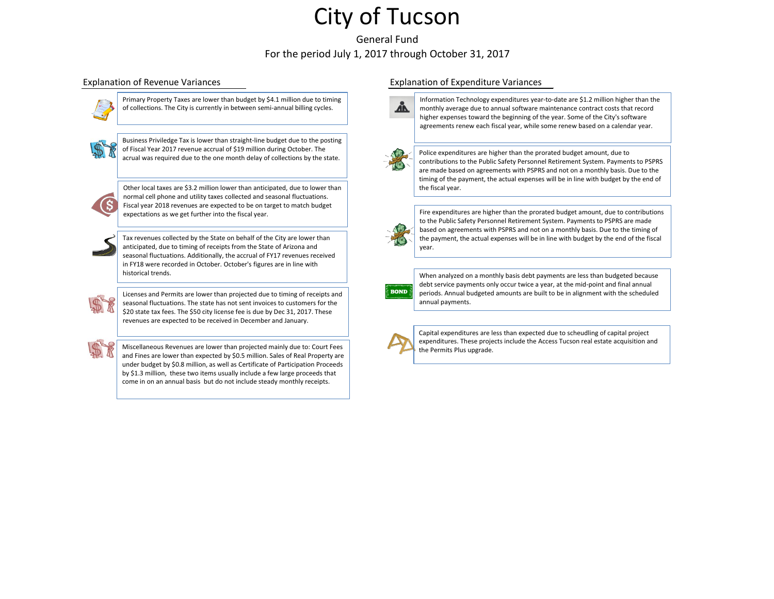General Fund For the period July 1, 2017 through October 31, 2017



Primary Property Taxes are lower than budget by \$4.1 million due to timing of collections. The City is currently in between semi-annual billing cycles.



Business Priviledge Tax is lower than straight-line budget due to the posting of Fiscal Year 2017 revenue accrual of \$19 million during October. The acrual was required due to the one month delay of collections by the state.

Other local taxes are \$3.2 million lower than anticipated, due to lower than normal cell phone and utility taxes collected and seasonal fluctuations. Fiscal year 2018 revenues are expected to be on target to match budget expectations as we get further into the fiscal year.



Tax revenues collected by the State on behalf of the City are lower than anticipated, due to timing of receipts from the State of Arizona and seasonal fluctuations. Additionally, the accrual of FY17 revenues received in FY18 were recorded in October. October's figures are in line with historical trends.



Licenses and Permits are lower than projected due to timing of receipts and seasonal fluctuations. The state has not sent invoices to customers for the \$20 state tax fees. The \$50 city license fee is due by Dec 31, 2017. These revenues are expected to be received in December and January.



Miscellaneous Revenues are lower than projected mainly due to: Court Fees and Fines are lower than expected by \$0.5 million. Sales of Real Property are under budget by \$0.8 million, as well as Certificate of Participation Proceeds by \$1.3 million, these two items usually include a few large proceeds that come in on an annual basis but do not include steady monthly receipts.

## Explanation of Revenue Variances Explanation of Expenditure Variances



Information Technology expenditures year-to-date are \$1.2 million higher than the monthly average due to annual software maintenance contract costs that record higher expenses toward the beginning of the year. Some of the City's software agreements renew each fiscal year, while some renew based on a calendar year.



Police expenditures are higher than the prorated budget amount, due to contributions to the Public Safety Personnel Retirement System. Payments to PSPRS are made based on agreements with PSPRS and not on a monthly basis. Due to the timing of the payment, the actual expenses will be in line with budget by the end of the fiscal year.



Fire expenditures are higher than the prorated budget amount, due to contributions to the Public Safety Personnel Retirement System. Payments to PSPRS are made based on agreements with PSPRS and not on a monthly basis. Due to the timing of the payment, the actual expenses will be in line with budget by the end of the fiscal year.



When analyzed on a monthly basis debt payments are less than budgeted because debt service payments only occur twice a year, at the mid-point and final annual periods. Annual budgeted amounts are built to be in alignment with the scheduled annual payments.

Capital expenditures are less than expected due to scheudling of capital project expenditures. These projects include the Access Tucson real estate acquisition and the Permits Plus upgrade.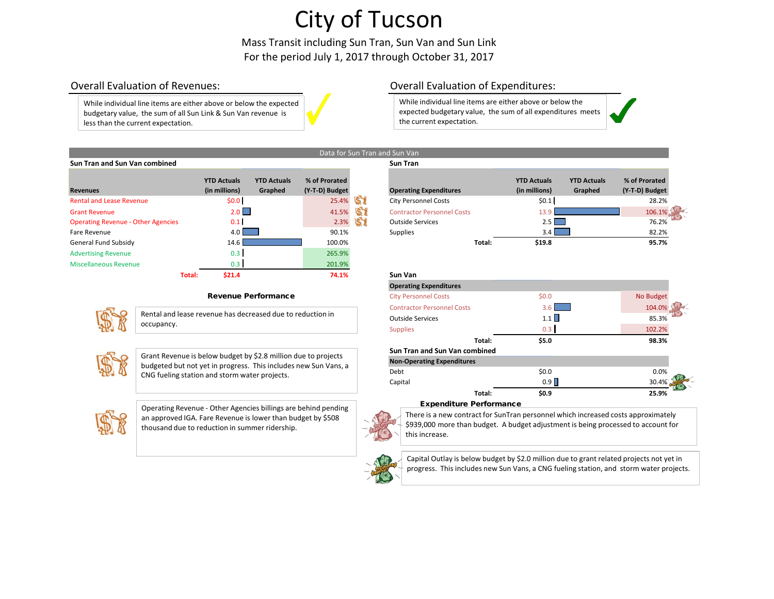Mass Transit including Sun Tran, Sun Van and Sun Link For the period July 1, 2017 through October 31, 2017

Data for Sun Tran and Sun Van

While individual line items are either above or below the expected budgetary value, the sum of all Sun Link & Sun Van revenue is less than the current expectation.

## Overall Evaluation of Revenues: Overall Evaluation of Expenditures:

While individual line items are either above or below the expected budgetary value, the sum of all expenditures meets the current expectation.

| <b>Sun Tran and Sun Van combined</b>      |                                     |                               |                                 |    | <b>Sun Tran</b>                   |        |                                     |                               |                                 |
|-------------------------------------------|-------------------------------------|-------------------------------|---------------------------------|----|-----------------------------------|--------|-------------------------------------|-------------------------------|---------------------------------|
| <b>Revenues</b>                           | <b>YTD Actuals</b><br>(in millions) | <b>YTD Actuals</b><br>Graphed | % of Prorated<br>(Y-T-D) Budget |    | <b>Operating Expenditures</b>     |        | <b>YTD Actuals</b><br>(in millions) | <b>YTD Actuals</b><br>Graphed | % of Prorated<br>(Y-T-D) Budget |
| <b>Rental and Lease Revenue</b>           | \$0.0 <sub>1</sub>                  |                               | 25.4%                           | 58 | <b>City Personnel Costs</b>       |        | \$0.1                               |                               | 28.2%                           |
| <b>Grant Revenue</b>                      | 2.0                                 |                               | 41.5%                           | 58 | <b>Contractor Personnel Costs</b> |        | 13.9                                |                               | 106.1%                          |
| <b>Operating Revenue - Other Agencies</b> | 0.1 <sub>l</sub>                    |                               | 2.3%                            |    | <b>Outside Services</b>           |        | $2.5$ $\Box$                        |                               | 76.2%                           |
| Fare Revenue                              | 4.0                                 |                               | 90.1%                           |    | <b>Supplies</b>                   |        | $3.4$ $\Box$                        |                               | 82.2%                           |
| <b>General Fund Subsidy</b>               | 14.6                                |                               | 100.0%                          |    |                                   | Total: | \$19.8                              |                               | 95.7%                           |
| <b>Advertising Revenue</b>                | 0.3                                 |                               | 265.9%                          |    |                                   |        |                                     |                               |                                 |
| Miscellaneous Revenue                     | 0.3 <sub>1</sub>                    |                               | 201.9%                          |    |                                   |        |                                     |                               |                                 |
| Total:                                    | \$21.4                              |                               | 74.1%                           |    | Sun Van                           |        |                                     |                               |                                 |

### Revenue Performance



Rental and lease revenue has decreased due to reduction in occupancy.



Grant Revenue is below budget by \$2.8 million due to projects budgeted but not yet in progress. This includes new Sun Vans, a CNG fueling station and storm water projects.



Operating Revenue - Other Agencies billings are behind pending an approved IGA. Fare Revenue is lower than budget by \$508 thousand due to reduction in summer ridership.

| <b>Operating Expenditures</b>     | <b>YTD Actuals</b><br>(in millions) | <b>YTD Actuals</b><br>Graphed | % of Prorated<br>(Y-T-D) Budget |  |
|-----------------------------------|-------------------------------------|-------------------------------|---------------------------------|--|
| <b>City Personnel Costs</b>       | \$0.1                               |                               | 28.2%                           |  |
| <b>Contractor Personnel Costs</b> | 13.9                                |                               | 106.1%                          |  |
| <b>Outside Services</b>           | 2.51                                |                               | 76.2%                           |  |
| <b>Supplies</b>                   | 3.4                                 |                               | 82.2%                           |  |
| Total:                            | \$19.8                              |                               | 95.7%                           |  |

| ำ V.<br>٠<br>. . |  |
|------------------|--|
|                  |  |

| <b>Operating Expenditures</b>        |         |           |
|--------------------------------------|---------|-----------|
| <b>City Personnel Costs</b>          | \$0.0\$ | No Budget |
| <b>Contractor Personnel Costs</b>    | 3.6     | 104.0%    |
| <b>Outside Services</b>              | 1.1     | 85.3%     |
| <b>Supplies</b>                      | 0.3     | 102.2%    |
| Total:                               | \$5.0   | 98.3%     |
| <b>Sun Tran and Sun Van combined</b> |         |           |
| <b>Non-Operating Expenditures</b>    |         |           |
| Debt                                 | \$0.0   | 0.0%      |
| Capital                              | 0.9     | 30.4%     |
| Total:                               | \$0.9   | 25.9%     |

### Expenditure Performance

There is a new contract for SunTran personnel which increased costs approximately \$939,000 more than budget. A budget adjustment is being processed to account for this increase.



Capital Outlay is below budget by \$2.0 million due to grant related projects not yet in progress. This includes new Sun Vans, a CNG fueling station, and storm water projects.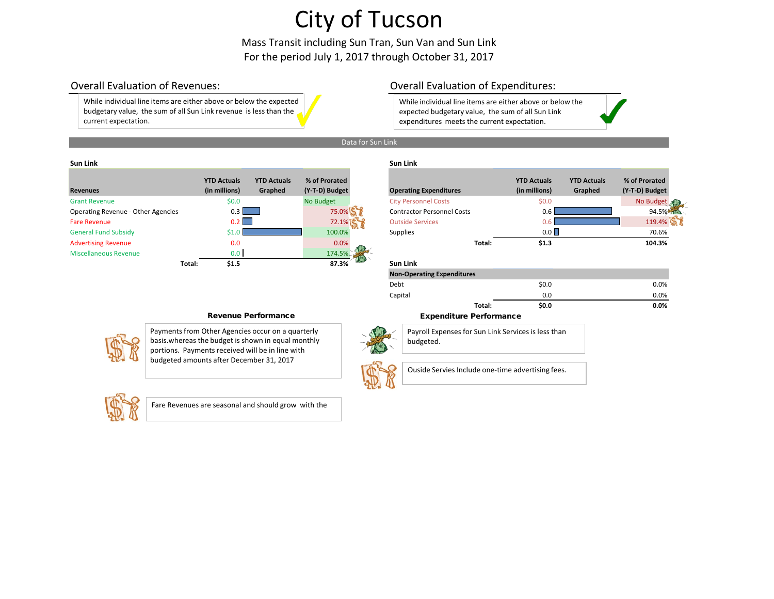Mass Transit including Sun Tran, Sun Van and Sun Link For the period July 1, 2017 through October 31, 2017

While individual line items are either above or below the expected budgetary value, the sum of all Sun Link revenue is less than the current expectation.

## Overall Evaluation of Revenues: Overall Evaluation of Expenditures:

While individual line items are either above or below the expected budgetary value, the sum of all Sun Link expenditures meets the current expectation.



## **Sun Link Sun Link**

| <b>Revenues</b>                    | <b>YTD Actuals</b><br>(in millions) | <b>YTD Actuals</b><br>Graphed | % of Prorated<br>(Y-T-D) Budget | <b>Operating Expenditures</b>     |        | <b>YTD Actuals</b><br>(in millions) | <b>YTD Actuals</b><br>Graphed | % of Prorated<br>(Y-T-D) Budget |
|------------------------------------|-------------------------------------|-------------------------------|---------------------------------|-----------------------------------|--------|-------------------------------------|-------------------------------|---------------------------------|
| <b>Grant Revenue</b>               | \$0.0                               |                               | No Budget                       | <b>City Personnel Costs</b>       |        | \$0.0\$                             |                               | <b>No Budget</b>                |
|                                    |                                     |                               |                                 |                                   |        |                                     |                               |                                 |
| Operating Revenue - Other Agencies | $0.3 \parallel$                     |                               | 75.0%                           | <b>Contractor Personnel Costs</b> |        | 0.6                                 |                               | 94.5%                           |
| <b>Fare Revenue</b>                | $0.2$                               |                               | 72.1%                           | <b>Outside Services</b>           |        |                                     |                               | 119.4%                          |
| <b>General Fund Subsidy</b>        | \$1.C                               |                               | 100.0%                          | Supplies                          |        | 0.0                                 |                               | 70.6%                           |
| <b>Advertising Revenue</b>         | 0.0                                 |                               | 0.0%                            |                                   | Total: | \$1.3                               |                               | 104.3%                          |
| <b>Miscellaneous Revenue</b>       | 0.0                                 |                               | 174.5%                          |                                   |        |                                     |                               |                                 |
|                                    | \$1.5<br>Total:                     |                               | 87.3%                           | <b>Sun Link</b>                   |        |                                     |                               |                                 |
|                                    |                                     |                               |                                 |                                   |        |                                     |                               |                                 |

| <b>Operating Expenditures</b>     | <b>YTD Actuals</b><br>(in millions) | <b>YTD Actuals</b><br>Graphed | % of Prorated<br>(Y-T-D) Budget |
|-----------------------------------|-------------------------------------|-------------------------------|---------------------------------|
| <b>City Personnel Costs</b>       | \$0.0\$                             |                               | <b>No Budget</b>                |
| <b>Contractor Personnel Costs</b> | 0.6                                 |                               | 94.5%                           |
| <b>Outside Services</b>           | $0.6^{\circ}$                       |                               | 119.4%                          |
| <b>Supplies</b>                   | 0.0                                 |                               | 70.6%                           |
| Total:                            | \$1.3                               |                               | 104.3%                          |

# **Total: \$1.5 87.3% Sun Link**

budgeted.

| <b>Non-Operating Expenditures</b> |       |      |
|-----------------------------------|-------|------|
| Debt                              | \$0.0 | 0.0% |
| Capital                           | 0.0   | 0.0% |
| Total:                            | \$0.0 | 0.0% |



Payments from Other Agencies occur on a quarterly basis.whereas the budget is shown in equal monthly portions. Payments received will be in line with budgeted amounts after December 31, 2017



Fare Revenues are seasonal and should grow with the

Revenue Performance **Expenditure Performance** 



Ouside Servies Include one-time advertising fees.

Payroll Expenses for Sun Link Services is less than

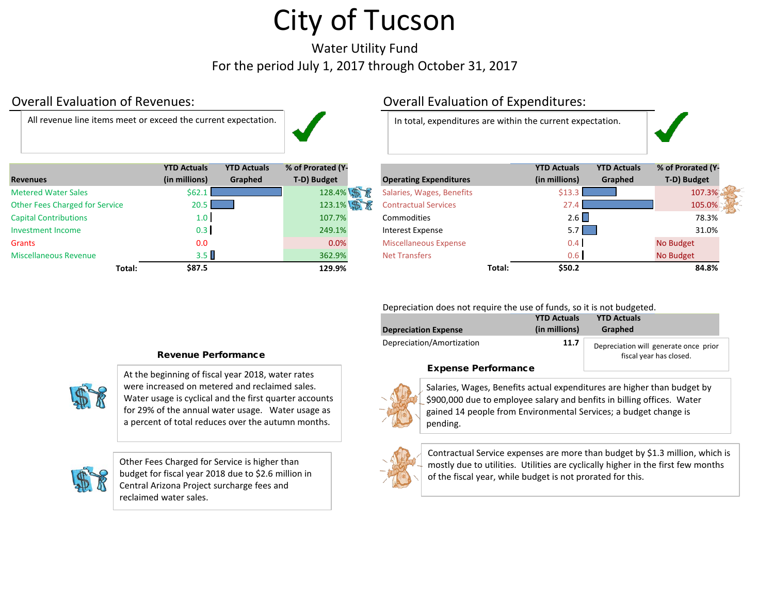Water Utility Fund For the period July 1, 2017 through October 31, 2017

All revenue line items meet or exceed the current expectation. | and in total, expenditures are within the current expectation.



|                                       | <b>YTD Actuals</b> | <b>YTD Actuals</b> | % of Prorated (Y- |                               |        | <b>YTD Actuals</b> | <b>YTD Actuals</b> | % of Prorated (Y |
|---------------------------------------|--------------------|--------------------|-------------------|-------------------------------|--------|--------------------|--------------------|------------------|
| <b>Revenues</b>                       | (in millions)      | Graphed            | T-D) Budget       | <b>Operating Expenditures</b> |        | (in millions)      | Graphed            | T-D) Budget      |
| <b>Metered Water Sales</b>            | \$62.1             |                    | 128.4% \$         | Salaries, Wages, Benefits     |        | \$13               |                    | 107.3%           |
| <b>Other Fees Charged for Service</b> | 20.5               |                    | 123.1% \$         | <b>Contractual Services</b>   |        | 27.4               |                    | 105.0%           |
| <b>Capital Contributions</b>          | $1.0 \mid$         |                    | 107.7%            | <b>Commodities</b>            |        | 2.6                |                    | 78.3%            |
| <b>Investment Income</b>              | 0.3                |                    | 249.1%            | Interest Expense              |        | 5.7                |                    | 31.0%            |
| Grants                                | 0.0                |                    | 0.0%              | <b>Miscellaneous Expense</b>  |        | 0.4                |                    | No Budget        |
| <b>Miscellaneous Revenue</b>          | 3.5                |                    | 362.9%            | <b>Net Transfers</b>          |        | 0.6                |                    | No Budget        |
| Total:                                | \$87.5             |                    | 129.9%            |                               | Total: | \$50.2\$           |                    | 84.8%            |

## Overall Evaluation of Revenues: Overall Evaluation of Expenditures:

|        | <b>YTD Actuals</b> | <b>YTD Actuals</b> | % of Prorated (Y- |                               |        | <b>YTD Actuals</b> | <b>YTD Actuals</b> | % of Prorated (Y- |  |
|--------|--------------------|--------------------|-------------------|-------------------------------|--------|--------------------|--------------------|-------------------|--|
|        | (in millions)      | Graphed            | T-D) Budget       | <b>Operating Expenditures</b> |        | (in millions)      | Graphed            | T-D) Budget       |  |
|        | \$62.1             |                    | 128.4% \$         | Salaries, Wages, Benefits     |        | \$13.3             |                    | 107.3%            |  |
| cе     | 20.5               |                    | 123.1% 第          | <b>Contractual Services</b>   |        | 27.4               |                    | 105.0%            |  |
|        | 1.0 <sub>1</sub>   |                    | 107.7%            | <b>Commodities</b>            |        | 2.6                |                    | 78.3%             |  |
|        | 0.3                |                    | 249.1%            | Interest Expense              |        | $5.7 \parallel$    |                    | 31.0%             |  |
|        | 0.0                |                    | 0.0%              | <b>Miscellaneous Expense</b>  |        | 0.4                |                    | No Budget         |  |
|        | 3.5                |                    | 362.9%            | <b>Net Transfers</b>          |        | 0.6                |                    | No Budget         |  |
| Total: | \$87.5             |                    | 129.9%            |                               | Total: | \$50.2             |                    | 84.8%             |  |

Depreciation does not require the use of funds, so it is not budgeted.

| <b>Depreciation Expense</b> | <b>YTD Actuals</b><br>(in millions) | <b>YTD Actuals</b><br>Graphed                                    |
|-----------------------------|-------------------------------------|------------------------------------------------------------------|
| Depreciation/Amortization   | 11.7                                | Depreciation will generate once prior<br>fiscal year has closed. |

### Expense Performance



Salaries, Wages, Benefits actual expenditures are higher than budget by \$900,000 due to employee salary and benfits in billing offices. Water gained 14 people from Environmental Services; a budget change is pending.



Contractual Service expenses are more than budget by \$1.3 million, which is mostly due to utilities. Utilities are cyclically higher in the first few months of the fiscal year, while budget is not prorated for this.

### Revenue Performance



At the beginning of fiscal year 2018, water rates were increased on metered and reclaimed sales. Water usage is cyclical and the first quarter accounts for 29% of the annual water usage. Water usage as a percent of total reduces over the autumn months.



Other Fees Charged for Service is higher than budget for fiscal year 2018 due to \$2.6 million in Central Arizona Project surcharge fees and reclaimed water sales.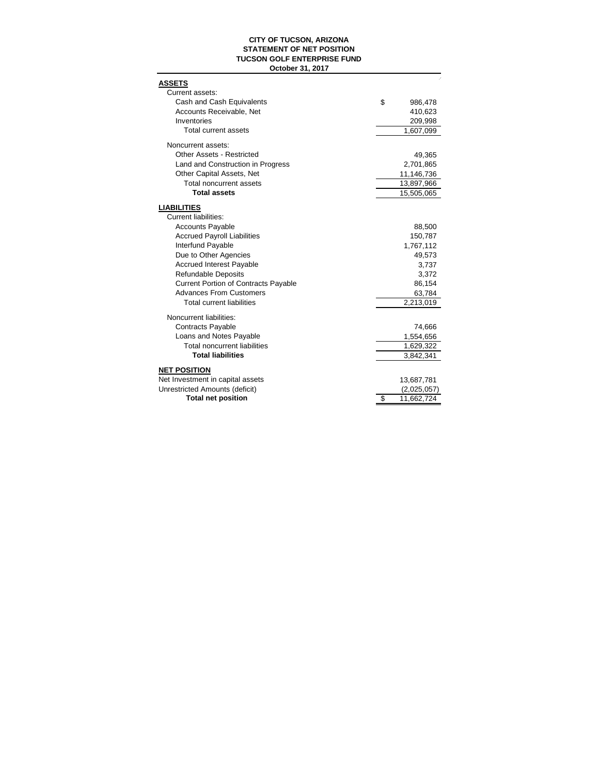### **CITY OF TUCSON, ARIZONA STATEMENT OF NET POSITION TUCSON GOLF ENTERPRISE FUND October 31, 2017**

| <b>ASSETS</b>                                                  |                  |
|----------------------------------------------------------------|------------------|
| Current assets:                                                |                  |
| Cash and Cash Equivalents                                      | \$<br>986,478    |
| Accounts Receivable, Net                                       | 410,623          |
| Inventories                                                    | 209,998          |
| <b>Total current assets</b>                                    | 1,607,099        |
| Noncurrent assets:                                             |                  |
| <b>Other Assets - Restricted</b>                               | 49,365           |
| Land and Construction in Progress                              | 2,701,865        |
| Other Capital Assets, Net                                      | 11,146,736       |
| <b>Total noncurrent assets</b>                                 | 13,897,966       |
| <b>Total assets</b>                                            | 15,505,065       |
|                                                                |                  |
| <b>LIABILITIES</b><br><b>Current liabilities:</b>              |                  |
| <b>Accounts Payable</b>                                        | 88,500           |
| <b>Accrued Payroll Liabilities</b>                             | 150,787          |
| Interfund Payable                                              | 1,767,112        |
| Due to Other Agencies                                          | 49,573           |
| <b>Accrued Interest Payable</b>                                | 3,737            |
| <b>Refundable Deposits</b>                                     | 3,372            |
| <b>Current Portion of Contracts Payable</b>                    | 86,154           |
| <b>Advances From Customers</b>                                 | 63,784           |
| <b>Total current liabilities</b>                               | 2,213,019        |
|                                                                |                  |
| Noncurrent liabilities:                                        |                  |
| <b>Contracts Payable</b>                                       | 74,666           |
| Loans and Notes Payable<br><b>Total noncurrent liabilities</b> | 1,554,656        |
| <b>Total liabilities</b>                                       | 1,629,322        |
|                                                                | 3,842,341        |
| <b>NET POSITION</b>                                            |                  |
| Net Investment in capital assets                               | 13,687,781       |
| Unrestricted Amounts (deficit)                                 | (2,025,057)      |
| <b>Total net position</b>                                      | \$<br>11,662,724 |